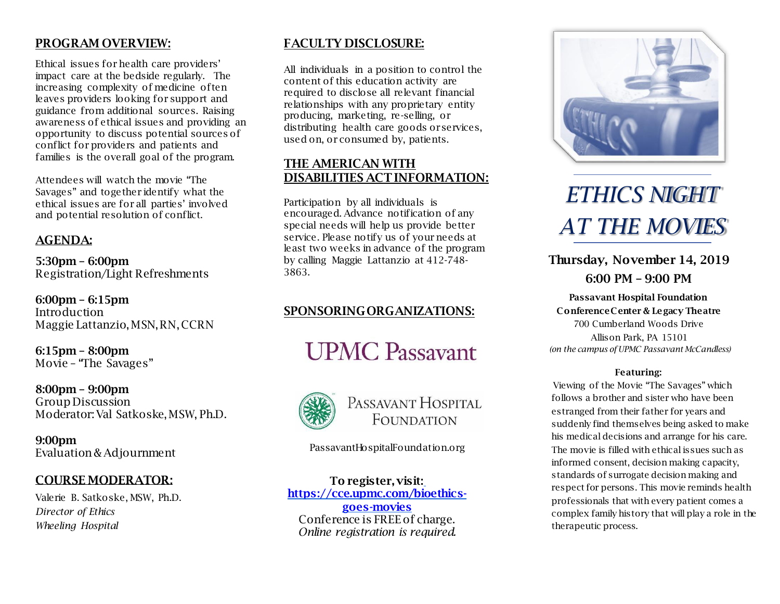# PROGRAM OVERVIEW:

Ethical issues for health care providers' impact care at the bedside regularly. The increasing complexity of medicine often leaves providers looking for support and guidance from additional sources. Raising awareness of ethical issues and providing an opportunity to discuss potential sources of conflict for providers and patients and families is the overall goal of the program.

Attendees will watch the movie "The Savages" and together identify what the ethical issues are for all parties' involved and potential resolution of conflict.

# AGENDA:

5:30pm – 6:00pm Registration/Light Refreshments

6:00pm – 6:15pm Introduction Maggie Lattanzio, MSN,RN, CCRN

6:15pm – 8:00pm Movie – "The Savages"

8:00pm – 9:00pm Group Discussion Moderator: Val Satkoske, MSW, Ph.D.

9:00pm Evaluation & Adjournment

# COURSE MODERATOR:

Valerie B. Satkoske, MSW, Ph.D. *Director of Ethics Wheeling Hospital*

# FACULTY DISCLOSURE:

All individuals in a position to control the content of this education activity are required to disclose all relevant financial relationships with any proprietary entity producing, marketing, re-selling, or distributing health care goods orservices, used on, or consumed by, patients.

# THE AMERICAN WITH DISABILITIES ACT INFORMATION:

Participation by all individuals is encouraged. Advance notification of any special needs will help us provide better service. Please notify us of your needs at least two weeks in advance of the program by calling Maggie Lattanzio at 412-748- 3863.

# SPONSORINGORGANIZATIONS:

# **UPMC Passavant**



# PASSAVANT HOSPITAL FOUNDATION

PassavantHospitalFoundation.org

To register, visit: [https://cce.upmc.com/bioethics](https://cce.upmc.com/bioethics-goes-movies)[goes-movies](https://cce.upmc.com/bioethics-goes-movies) Conference is FREE of charge. *Online registration is required.*



# *ETHICS NIGHT AT THE MOVIES*

Thursday, November 14, 2019 6:00 PM – 9:00 PM

Passavant Hospital Foundation ConferenceCenter & Legacy Theatre 700 Cumberland Woods Drive Allison Park, PA 15101 *(on the campus of UPMC Passavant McCandless)*

#### Featuring:

Viewing of the Movie "The Savages" which follows a brother and sister who have been estranged from their father for years and suddenly find themselves being asked to make his medical decisions and arrange for his care. The movie is filled with ethical issues such as informed consent, decision making capacity, standards of surrogate decision making and respect for persons. This movie reminds health professionals that with every patient comes a complex family history that will play a role in the therapeutic process.